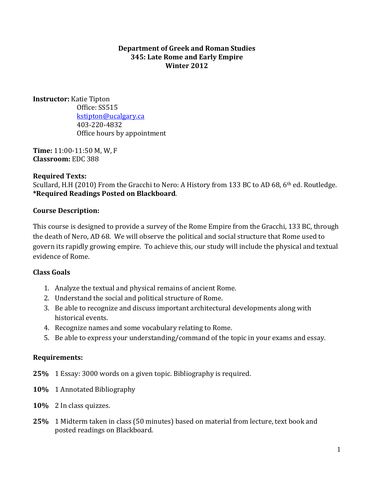### **Department of Greek and Roman Studies 345: Late Rome and Early Empire Winter 2012**

**Instructor:** Katie Tipton Office: SS515 [kstipton@ucalgary.ca](mailto:kstipton@ucalgary.ca) 403-220-4832 Office hours by appointment

**Time:** 11:00-11:50 M, W, F **Classroom:** EDC 388

# **Required Texts:**

Scullard, H.H (2010) From the Gracchi to Nero: A History from 133 BC to AD 68, 6<sup>th</sup> ed. Routledge. **\*Required Readings Posted on Blackboard**.

# **Course Description:**

This course is designed to provide a survey of the Rome Empire from the Gracchi, 133 BC, through the death of Nero, AD 68. We will observe the political and social structure that Rome used to govern its rapidly growing empire. To achieve this, our study will include the physical and textual evidence of Rome.

# **Class Goals**

- 1. Analyze the textual and physical remains of ancient Rome.
- 2. Understand the social and political structure of Rome.
- 3. Be able to recognize and discuss important architectural developments along with historical events.
- 4. Recognize names and some vocabulary relating to Rome.
- 5. Be able to express your understanding/command of the topic in your exams and essay.

# **Requirements:**

- **25%** 1 Essay: 3000 words on a given topic. Bibliography is required.
- **10%** 1 Annotated Bibliography
- **10%** 2 In class quizzes.
- **25%** 1 Midterm taken in class (50 minutes) based on material from lecture, text book and posted readings on Blackboard.